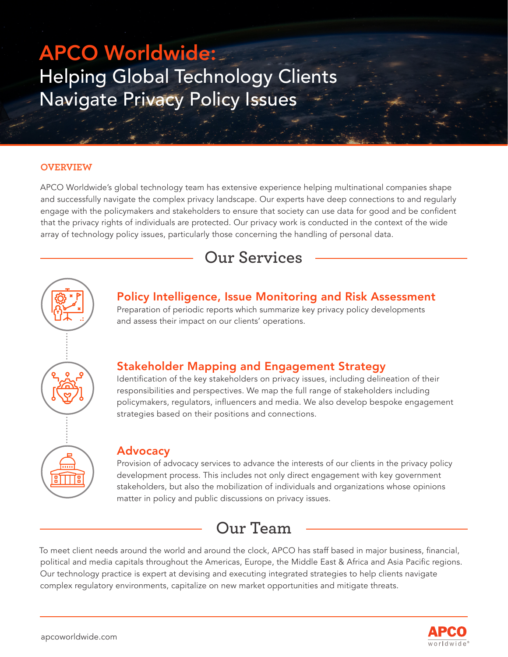# APCO Worldwide: Helping Global Technology Clients Navigate Privacy Policy Issues

#### **OVERVIEW**

APCO Worldwide's global technology team has extensive experience helping multinational companies shape and successfully navigate the complex privacy landscape. Our experts have deep connections to and regularly engage with the policymakers and stakeholders to ensure that society can use data for good and be confident that the privacy rights of individuals are protected. Our privacy work is conducted in the context of the wide array of technology policy issues, particularly those concerning the handling of personal data.

# **Our Services**



### Policy Intelligence, Issue Monitoring and Risk Assessment

Preparation of periodic reports which summarize key privacy policy developments and assess their impact on our clients' operations.

### Stakeholder Mapping and Engagement Strategy

Identification of the key stakeholders on privacy issues, including delineation of their responsibilities and perspectives. We map the full range of stakeholders including policymakers, regulators, influencers and media. We also develop bespoke engagement strategies based on their positions and connections.

#### Advocacy

Provision of advocacy services to advance the interests of our clients in the privacy policy development process. This includes not only direct engagement with key government stakeholders, but also the mobilization of individuals and organizations whose opinions matter in policy and public discussions on privacy issues.

### **Our Team**

To meet client needs around the world and around the clock, APCO has staff based in major business, financial, political and media capitals throughout the Americas, Europe, the Middle East & Africa and Asia Pacific regions. Our technology practice is expert at devising and executing integrated strategies to help clients navigate complex regulatory environments, capitalize on new market opportunities and mitigate threats.